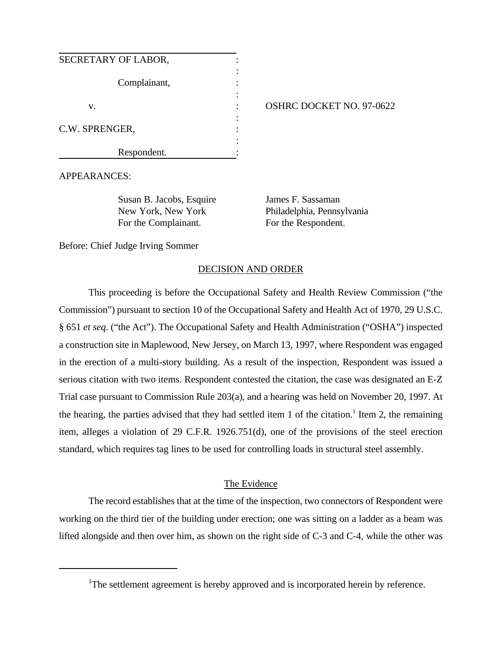| SECRETARY OF LABOR, |  |
|---------------------|--|
| Complainant,        |  |
| v.                  |  |
| C.W. SPRENGER,      |  |
| Respondent.         |  |

#### OSHRC DOCKET NO. 97-0622

APPEARANCES:

Susan B. Jacobs, Esquire James F. Sassaman For the Complainant. For the Respondent.

New York, New York Philadelphia, Pennsylvania

Before: Chief Judge Irving Sommer

### DECISION AND ORDER

This proceeding is before the Occupational Safety and Health Review Commission ("the Commission") pursuant to section 10 of the Occupational Safety and Health Act of 1970, 29 U.S.C. § 651 *et seq*. ("the Act"). The Occupational Safety and Health Administration ("OSHA") inspected a construction site in Maplewood, New Jersey, on March 13, 1997, where Respondent was engaged in the erection of a multi-story building. As a result of the inspection, Respondent was issued a serious citation with two items. Respondent contested the citation, the case was designated an E-Z Trial case pursuant to Commission Rule 203(a), and a hearing was held on November 20, 1997. At the hearing, the parties advised that they had settled item 1 of the citation.<sup>1</sup> Item 2, the remaining item, alleges a violation of 29 C.F.R. 1926.751(d), one of the provisions of the steel erection standard, which requires tag lines to be used for controlling loads in structural steel assembly.

### The Evidence

The record establishes that at the time of the inspection, two connectors of Respondent were working on the third tier of the building under erection; one was sitting on a ladder as a beam was lifted alongside and then over him, as shown on the right side of C-3 and C-4, while the other was

<sup>&</sup>lt;sup>1</sup>The settlement agreement is hereby approved and is incorporated herein by reference.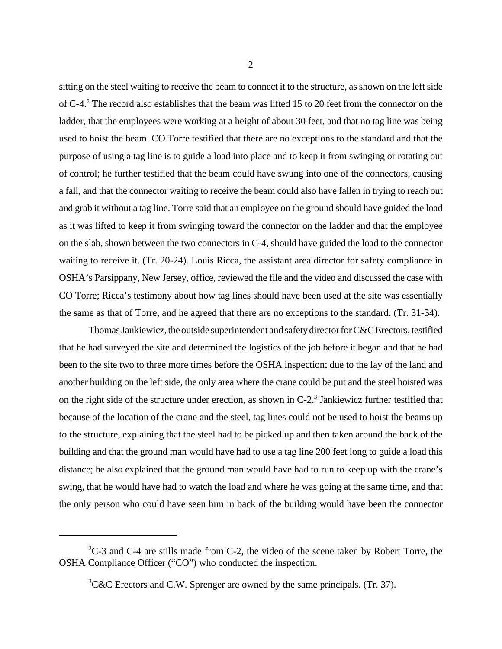sitting on the steel waiting to receive the beam to connect it to the structure, as shown on the left side of C-4.<sup>2</sup> The record also establishes that the beam was lifted 15 to 20 feet from the connector on the ladder, that the employees were working at a height of about 30 feet, and that no tag line was being used to hoist the beam. CO Torre testified that there are no exceptions to the standard and that the purpose of using a tag line is to guide a load into place and to keep it from swinging or rotating out of control; he further testified that the beam could have swung into one of the connectors, causing a fall, and that the connector waiting to receive the beam could also have fallen in trying to reach out and grab it without a tag line. Torre said that an employee on the ground should have guided the load as it was lifted to keep it from swinging toward the connector on the ladder and that the employee on the slab, shown between the two connectors in C-4, should have guided the load to the connector waiting to receive it. (Tr. 20-24). Louis Ricca, the assistant area director for safety compliance in OSHA's Parsippany, New Jersey, office, reviewed the file and the video and discussed the case with CO Torre; Ricca's testimony about how tag lines should have been used at the site was essentially the same as that of Torre, and he agreed that there are no exceptions to the standard. (Tr. 31-34).

Thomas Jankiewicz, the outside superintendent and safety director for C&C Erectors, testified that he had surveyed the site and determined the logistics of the job before it began and that he had been to the site two to three more times before the OSHA inspection; due to the lay of the land and another building on the left side, the only area where the crane could be put and the steel hoisted was on the right side of the structure under erection, as shown in  $C-2$ .<sup>3</sup> Jankiewicz further testified that because of the location of the crane and the steel, tag lines could not be used to hoist the beams up to the structure, explaining that the steel had to be picked up and then taken around the back of the building and that the ground man would have had to use a tag line 200 feet long to guide a load this distance; he also explained that the ground man would have had to run to keep up with the crane's swing, that he would have had to watch the load and where he was going at the same time, and that the only person who could have seen him in back of the building would have been the connector

 ${}^{2}C-3$  and C-4 are stills made from C-2, the video of the scene taken by Robert Torre, the OSHA Compliance Officer ("CO") who conducted the inspection.

 ${}^{3}$ C&C Erectors and C.W. Sprenger are owned by the same principals. (Tr. 37).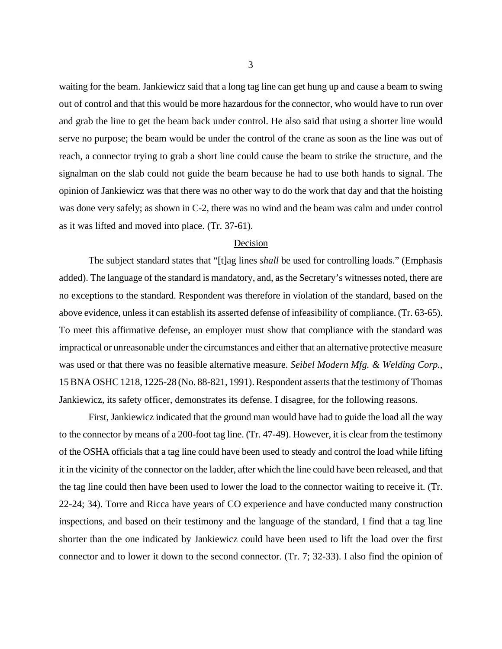waiting for the beam. Jankiewicz said that a long tag line can get hung up and cause a beam to swing out of control and that this would be more hazardous for the connector, who would have to run over and grab the line to get the beam back under control. He also said that using a shorter line would serve no purpose; the beam would be under the control of the crane as soon as the line was out of reach, a connector trying to grab a short line could cause the beam to strike the structure, and the signalman on the slab could not guide the beam because he had to use both hands to signal. The opinion of Jankiewicz was that there was no other way to do the work that day and that the hoisting was done very safely; as shown in C-2, there was no wind and the beam was calm and under control as it was lifted and moved into place. (Tr. 37-61).

#### Decision

The subject standard states that "[t]ag lines *shall* be used for controlling loads." (Emphasis added). The language of the standard is mandatory, and, as the Secretary's witnesses noted, there are no exceptions to the standard. Respondent was therefore in violation of the standard, based on the above evidence, unless it can establish its asserted defense of infeasibility of compliance. (Tr. 63-65). To meet this affirmative defense, an employer must show that compliance with the standard was impractical or unreasonable under the circumstances and either that an alternative protective measure was used or that there was no feasible alternative measure. *Seibel Modern Mfg. & Welding Corp.*, 15 BNA OSHC 1218, 1225-28 (No. 88-821, 1991). Respondent asserts that the testimony of Thomas Jankiewicz, its safety officer, demonstrates its defense. I disagree, for the following reasons.

First, Jankiewicz indicated that the ground man would have had to guide the load all the way to the connector by means of a 200-foot tag line. (Tr. 47-49). However, it is clear from the testimony of the OSHA officials that a tag line could have been used to steady and control the load while lifting it in the vicinity of the connector on the ladder, after which the line could have been released, and that the tag line could then have been used to lower the load to the connector waiting to receive it. (Tr. 22-24; 34). Torre and Ricca have years of CO experience and have conducted many construction inspections, and based on their testimony and the language of the standard, I find that a tag line shorter than the one indicated by Jankiewicz could have been used to lift the load over the first connector and to lower it down to the second connector. (Tr. 7; 32-33). I also find the opinion of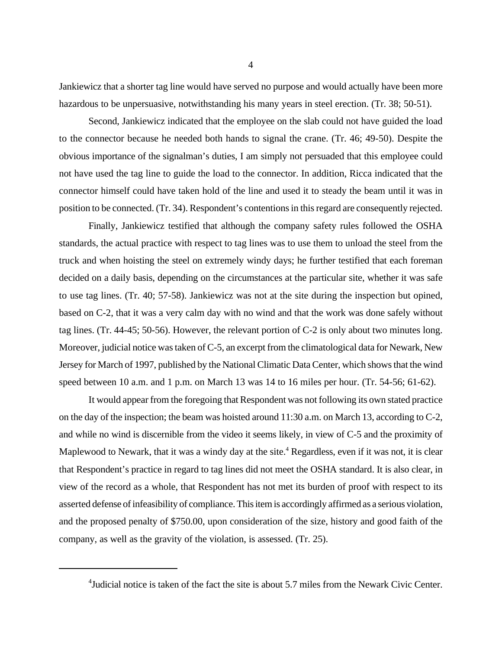Jankiewicz that a shorter tag line would have served no purpose and would actually have been more hazardous to be unpersuasive, notwithstanding his many years in steel erection. (Tr. 38; 50-51).

Second, Jankiewicz indicated that the employee on the slab could not have guided the load to the connector because he needed both hands to signal the crane. (Tr. 46; 49-50). Despite the obvious importance of the signalman's duties, I am simply not persuaded that this employee could not have used the tag line to guide the load to the connector. In addition, Ricca indicated that the connector himself could have taken hold of the line and used it to steady the beam until it was in position to be connected. (Tr. 34). Respondent's contentions in this regard are consequently rejected.

Finally, Jankiewicz testified that although the company safety rules followed the OSHA standards, the actual practice with respect to tag lines was to use them to unload the steel from the truck and when hoisting the steel on extremely windy days; he further testified that each foreman decided on a daily basis, depending on the circumstances at the particular site, whether it was safe to use tag lines. (Tr. 40; 57-58). Jankiewicz was not at the site during the inspection but opined, based on C-2, that it was a very calm day with no wind and that the work was done safely without tag lines. (Tr. 44-45; 50-56). However, the relevant portion of C-2 is only about two minutes long. Moreover, judicial notice was taken of C-5, an excerpt from the climatological data for Newark, New Jersey for March of 1997, published by the National Climatic Data Center, which shows that the wind speed between 10 a.m. and 1 p.m. on March 13 was 14 to 16 miles per hour. (Tr. 54-56; 61-62).

It would appear from the foregoing that Respondent was not following its own stated practice on the day of the inspection; the beam was hoisted around 11:30 a.m. on March 13, according to C-2, and while no wind is discernible from the video it seems likely, in view of C-5 and the proximity of Maplewood to Newark, that it was a windy day at the site.<sup>4</sup> Regardless, even if it was not, it is clear that Respondent's practice in regard to tag lines did not meet the OSHA standard. It is also clear, in view of the record as a whole, that Respondent has not met its burden of proof with respect to its asserted defense of infeasibility of compliance. This item is accordingly affirmed as a serious violation, and the proposed penalty of \$750.00, upon consideration of the size, history and good faith of the company, as well as the gravity of the violation, is assessed. (Tr. 25).

<sup>&</sup>lt;sup>4</sup>Judicial notice is taken of the fact the site is about 5.7 miles from the Newark Civic Center.